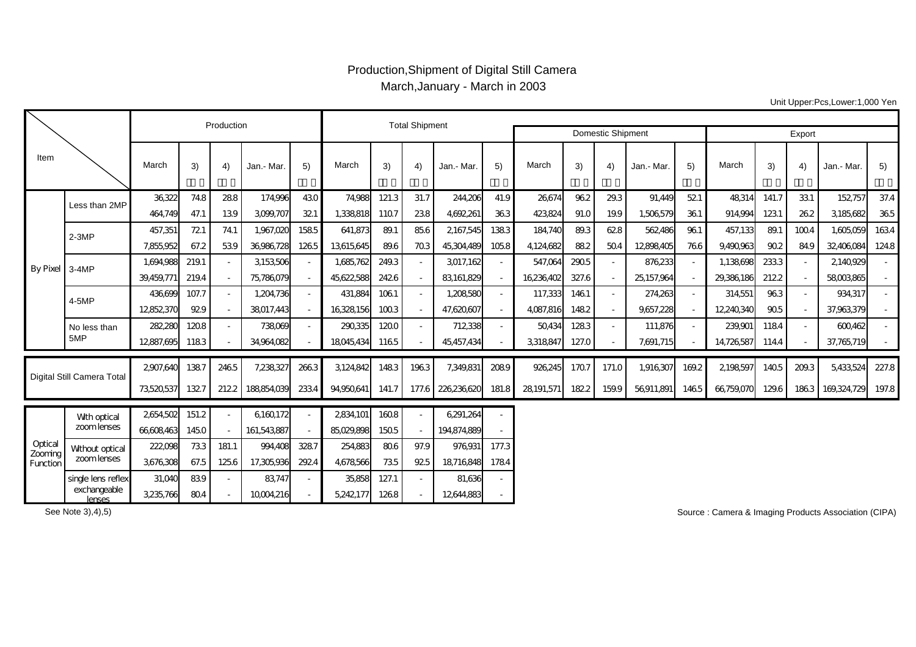## Production,Shipment of Digital Still Camera March,January - March in 2003

Unit Upper:Pcs,Lower:1,000 Yen

|                                |                               |            | Production |       | <b>Total Shipment</b> |                          |            |       |                              |             |       |            |       |                          |            |                          |            |       |       |             |       |
|--------------------------------|-------------------------------|------------|------------|-------|-----------------------|--------------------------|------------|-------|------------------------------|-------------|-------|------------|-------|--------------------------|------------|--------------------------|------------|-------|-------|-------------|-------|
|                                |                               |            |            |       |                       |                          |            |       |                              |             |       |            |       | <b>Domestic Shipment</b> |            | Export                   |            |       |       |             |       |
| Item                           |                               | March      | 3)         | 4)    | Jan.- Mar.            | 5)                       | March      | 3)    | 4)                           | Jan.- Mar.  | 5)    | March      | 3)    | 4)                       | Jan.- Mar. | 5)                       | March      | 3)    | 4)    | Jan.- Mar.  | 5)    |
| By Pixel 3-4MP                 | Less than 2MP                 | 36322      | 74.8       | 288   | 174.996               | 430                      | 74.988     | 121.3 | 31.7                         | 244,206     | 41.9  | 26674      | 962   | 29.3                     | 91.449     | 521                      | 48314      | 141.7 | 331   | 152757      | 37.4  |
|                                |                               | 464.749    | 47.1       | 139   | 3,099,707             | 321                      | 1,338,818  | 1107  | 238                          | 4,692,261   | 363   | 423,824    | 91.0  | 19.9                     | 1,506,579  | 361                      | 914,994    | 1231  | 262   | 3185,682    | 365   |
|                                | $2-3MP$                       | 457,351    | 721        | 74.1  | 1,967,020             | 1585                     | 641,873    | 89.1  | 85.6                         | 2167,545    | 1383  | 184,740    | 89.3  | 628                      | 562486     | 961                      | 457,133    | 89.1  | 1004  | 1,605,059   | 1634  |
|                                |                               | 7,855,952  | 67.2       | 539   | 36,986,728            | 1265                     | 13,615,645 | 89.6  | 703                          | 45,304,489  | 1058  | 4,124,682  | 882   | 504                      | 12898405   | 766                      | 9.490.963  | 90.2  | 84.9  | 32,406,084  | 124.8 |
|                                |                               | 1.694.988  | 219.1      |       | 3,153,506             | $\sim$                   | 1,685,762  | 249.3 |                              | 3017,162    |       | 547,064    | 2905  | $\blacksquare$           | 876,233    | $\overline{\phantom{a}}$ | 1,138698   | 2333  |       | 2140,929    |       |
|                                |                               | 39.459.771 | 219.4      |       | 75,786,079            | $\sim$                   | 45,622,588 | 2426  |                              | 83,161,829  |       | 16,236,402 | 327.6 | $\overline{\phantom{a}}$ | 25,157,964 |                          | 29,386,186 | 2122  |       | 58003865    |       |
|                                | 4-5MP                         | 436,699    | 107.7      |       | 1,204,736             | $\sim$                   | 431,884    | 1061  |                              | 1,208,580   |       | 117,333    | 1461  | $\sim$                   | 274,263    | $\sim$                   | 314,551    | 963   |       | 934,317     |       |
|                                |                               | 12852370   | 929        |       | 38017.443             | $\sim$                   | 16328156   | 1003  |                              | 47,620,607  |       | 4,087,816  | 1482  | $\overline{\phantom{a}}$ | 9,657,228  | $\overline{\phantom{a}}$ | 12,240,340 | 905   |       | 37,963,379  |       |
|                                | No less than                  | 282,280    | 1208       |       | 738069                | $\sim$                   | 290,335    | 1200  | $\sim$                       | 712338      |       | 50434      | 1283  | $\sim$                   | 111,876    | $\sim$                   | 239,901    | 1184  |       | 600462      |       |
|                                | 5MP                           | 12887,695  | 1183       |       | 34,964,082            | $\overline{\phantom{a}}$ | 18045,434  | 1165  |                              | 45,457,434  |       | 3,318,847  | 127.0 | $\overline{\phantom{a}}$ | 7,691,715  |                          | 14,726,587 | 114.4 |       | 37,765,719  |       |
| Digital Still Camera Total     |                               | 2907.640   | 1387       | 2465  | 7,238,327             | 2663                     | 3,124,842  | 1483  | 1963                         | 7,349,831   | 2089  | 926,245    | 1707  | 171.0                    | 1,916,307  | 169.2                    | 2198597    | 1405  | 209.3 | 5,433,524   | 227.8 |
|                                |                               |            |            |       |                       |                          |            |       |                              |             |       |            |       |                          |            |                          |            |       |       |             |       |
|                                |                               | 73,520,537 | 1327       | 2122  | 188854.039            | 2334                     | 94,950,641 | 141.7 | 177.6                        | 226236620   | 181.8 | 28191,571  | 1822  | 159.9                    | 56911,891  | 1465                     | 66,759,070 | 129.6 | 1863  | 169,324,729 | 197.8 |
| Optical<br>Zooming<br>Function | Wth optical<br>zoom lenses    | 2654,502   | 151.2      |       | 6160172               |                          | 2834,101   | 1608  |                              | 6,291,264   |       |            |       |                          |            |                          |            |       |       |             |       |
|                                |                               | 66608463   | 1450       |       | 161,543,887           | $\overline{\phantom{a}}$ | 85,029,898 | 1505  |                              | 194,874,889 |       |            |       |                          |            |                          |            |       |       |             |       |
|                                | Without optical               | 222,098    | 733        | 181.1 | 994.408               | 3287                     | 254,883    | 806   | 97.9                         | 976,931     | 177.3 |            |       |                          |            |                          |            |       |       |             |       |
|                                | zoom lenses                   | 3,676,308  | 67.5       | 1256  | 17,305,936            | 2924                     | 4,678,566  | 735   | 925                          | 18716848    | 1784  |            |       |                          |            |                          |            |       |       |             |       |
|                                | single lens reflex            | 31,040     | 839        |       | 83,747                | $\overline{\phantom{a}}$ | 35,858     | 127.1 | $\qquad \qquad \blacksquare$ | 81,636      |       |            |       |                          |            |                          |            |       |       |             |       |
|                                | exchangeable<br><b>lenses</b> | 3,235,766  | 804        |       | 10004,216             |                          | 5,242,177  | 1268  |                              | 12644,883   |       |            |       |                          |            |                          |            |       |       |             |       |

See Note 3),4),5)

Source : Camera & Imaging Products Association (CIPA)